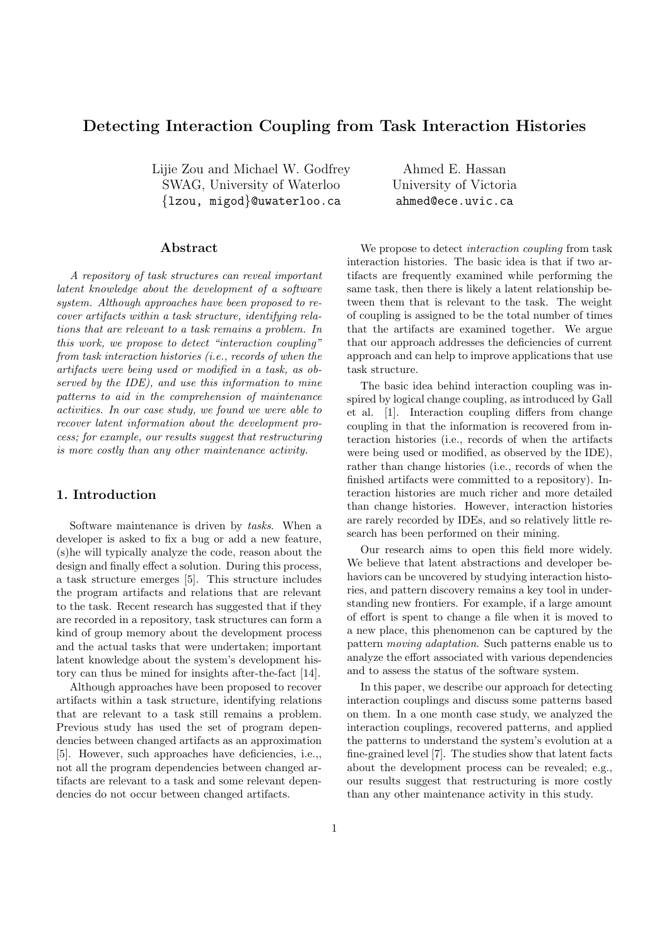# Detecting Interaction Coupling from Task Interaction Histories

Lijie Zou and Michael W. Godfrey SWAG, University of Waterloo {lzou, migod}@uwaterloo.ca

#### Abstract

A repository of task structures can reveal important latent knowledge about the development of a software system. Although approaches have been proposed to recover artifacts within a task structure, identifying relations that are relevant to a task remains a problem. In this work, we propose to detect "interaction coupling" from task interaction histories (i.e., records of when the artifacts were being used or modified in a task, as observed by the IDE), and use this information to mine patterns to aid in the comprehension of maintenance activities. In our case study, we found we were able to recover latent information about the development process; for example, our results suggest that restructuring is more costly than any other maintenance activity.

# 1. Introduction

Software maintenance is driven by tasks. When a developer is asked to fix a bug or add a new feature, (s)he will typically analyze the code, reason about the design and finally effect a solution. During this process, a task structure emerges [5]. This structure includes the program artifacts and relations that are relevant to the task. Recent research has suggested that if they are recorded in a repository, task structures can form a kind of group memory about the development process and the actual tasks that were undertaken; important latent knowledge about the system's development history can thus be mined for insights after-the-fact [14].

Although approaches have been proposed to recover artifacts within a task structure, identifying relations that are relevant to a task still remains a problem. Previous study has used the set of program dependencies between changed artifacts as an approximation [5]. However, such approaches have deficiencies, i.e.,, not all the program dependencies between changed artifacts are relevant to a task and some relevant dependencies do not occur between changed artifacts.

We propose to detect *interaction coupling* from task interaction histories. The basic idea is that if two artifacts are frequently examined while performing the same task, then there is likely a latent relationship between them that is relevant to the task. The weight of coupling is assigned to be the total number of times that the artifacts are examined together. We argue that our approach addresses the deficiencies of current approach and can help to improve applications that use task structure.

Ahmed E. Hassan University of Victoria ahmed@ece.uvic.ca

The basic idea behind interaction coupling was inspired by logical change coupling, as introduced by Gall et al. [1]. Interaction coupling differs from change coupling in that the information is recovered from interaction histories (i.e., records of when the artifacts were being used or modified, as observed by the IDE), rather than change histories (i.e., records of when the finished artifacts were committed to a repository). Interaction histories are much richer and more detailed than change histories. However, interaction histories are rarely recorded by IDEs, and so relatively little research has been performed on their mining.

Our research aims to open this field more widely. We believe that latent abstractions and developer behaviors can be uncovered by studying interaction histories, and pattern discovery remains a key tool in understanding new frontiers. For example, if a large amount of effort is spent to change a file when it is moved to a new place, this phenomenon can be captured by the pattern moving adaptation. Such patterns enable us to analyze the effort associated with various dependencies and to assess the status of the software system.

In this paper, we describe our approach for detecting interaction couplings and discuss some patterns based on them. In a one month case study, we analyzed the interaction couplings, recovered patterns, and applied the patterns to understand the system's evolution at a fine-grained level [7]. The studies show that latent facts about the development process can be revealed; e.g., our results suggest that restructuring is more costly than any other maintenance activity in this study.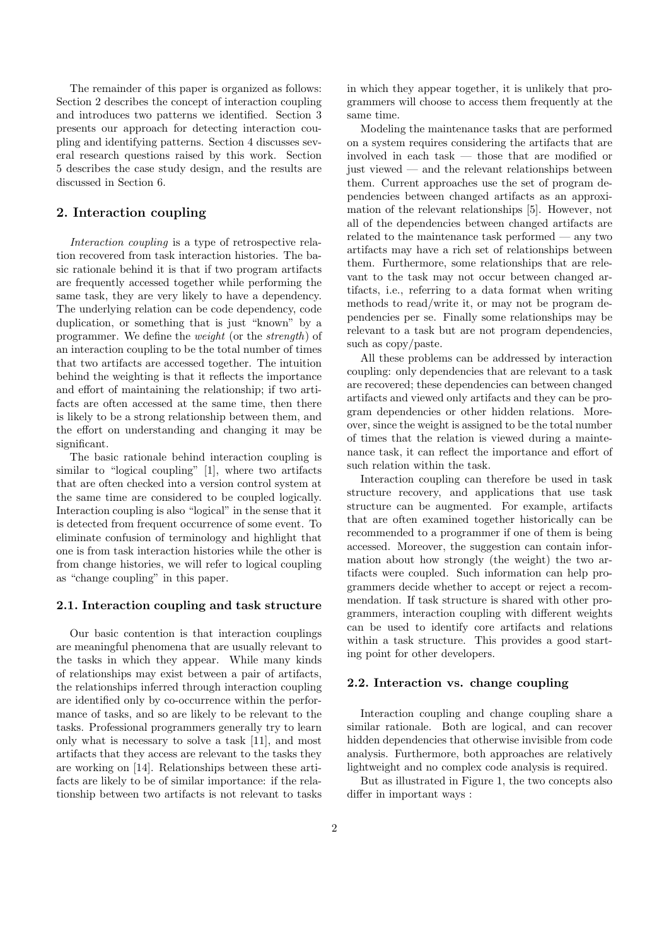The remainder of this paper is organized as follows: Section 2 describes the concept of interaction coupling and introduces two patterns we identified. Section 3 presents our approach for detecting interaction coupling and identifying patterns. Section 4 discusses several research questions raised by this work. Section 5 describes the case study design, and the results are discussed in Section 6.

# 2. Interaction coupling

Interaction coupling is a type of retrospective relation recovered from task interaction histories. The basic rationale behind it is that if two program artifacts are frequently accessed together while performing the same task, they are very likely to have a dependency. The underlying relation can be code dependency, code duplication, or something that is just "known" by a programmer. We define the weight (or the strength) of an interaction coupling to be the total number of times that two artifacts are accessed together. The intuition behind the weighting is that it reflects the importance and effort of maintaining the relationship; if two artifacts are often accessed at the same time, then there is likely to be a strong relationship between them, and the effort on understanding and changing it may be significant.

The basic rationale behind interaction coupling is similar to "logical coupling" [1], where two artifacts that are often checked into a version control system at the same time are considered to be coupled logically. Interaction coupling is also "logical" in the sense that it is detected from frequent occurrence of some event. To eliminate confusion of terminology and highlight that one is from task interaction histories while the other is from change histories, we will refer to logical coupling as "change coupling" in this paper.

#### 2.1. Interaction coupling and task structure

Our basic contention is that interaction couplings are meaningful phenomena that are usually relevant to the tasks in which they appear. While many kinds of relationships may exist between a pair of artifacts, the relationships inferred through interaction coupling are identified only by co-occurrence within the performance of tasks, and so are likely to be relevant to the tasks. Professional programmers generally try to learn only what is necessary to solve a task [11], and most artifacts that they access are relevant to the tasks they are working on [14]. Relationships between these artifacts are likely to be of similar importance: if the relationship between two artifacts is not relevant to tasks in which they appear together, it is unlikely that programmers will choose to access them frequently at the same time.

Modeling the maintenance tasks that are performed on a system requires considering the artifacts that are involved in each task — those that are modified or just viewed — and the relevant relationships between them. Current approaches use the set of program dependencies between changed artifacts as an approximation of the relevant relationships [5]. However, not all of the dependencies between changed artifacts are related to the maintenance task performed — any two artifacts may have a rich set of relationships between them. Furthermore, some relationships that are relevant to the task may not occur between changed artifacts, i.e., referring to a data format when writing methods to read/write it, or may not be program dependencies per se. Finally some relationships may be relevant to a task but are not program dependencies, such as copy/paste.

All these problems can be addressed by interaction coupling: only dependencies that are relevant to a task are recovered; these dependencies can between changed artifacts and viewed only artifacts and they can be program dependencies or other hidden relations. Moreover, since the weight is assigned to be the total number of times that the relation is viewed during a maintenance task, it can reflect the importance and effort of such relation within the task.

Interaction coupling can therefore be used in task structure recovery, and applications that use task structure can be augmented. For example, artifacts that are often examined together historically can be recommended to a programmer if one of them is being accessed. Moreover, the suggestion can contain information about how strongly (the weight) the two artifacts were coupled. Such information can help programmers decide whether to accept or reject a recommendation. If task structure is shared with other programmers, interaction coupling with different weights can be used to identify core artifacts and relations within a task structure. This provides a good starting point for other developers.

# 2.2. Interaction vs. change coupling

Interaction coupling and change coupling share a similar rationale. Both are logical, and can recover hidden dependencies that otherwise invisible from code analysis. Furthermore, both approaches are relatively lightweight and no complex code analysis is required.

But as illustrated in Figure 1, the two concepts also differ in important ways :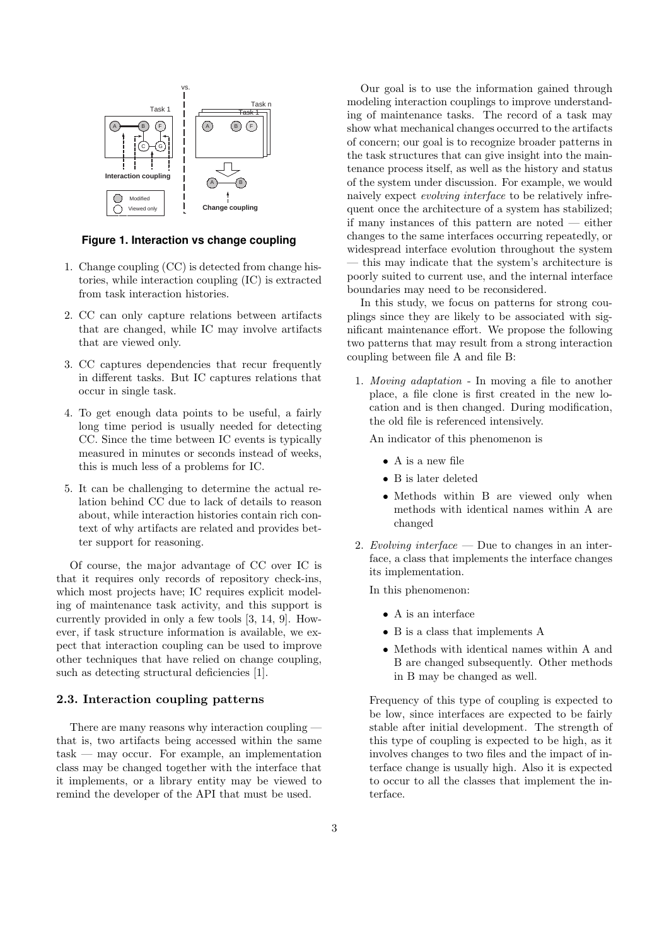

**Figure 1. Interaction vs change coupling**

- 1. Change coupling (CC) is detected from change histories, while interaction coupling (IC) is extracted from task interaction histories.
- 2. CC can only capture relations between artifacts that are changed, while IC may involve artifacts that are viewed only.
- 3. CC captures dependencies that recur frequently in different tasks. But IC captures relations that occur in single task.
- 4. To get enough data points to be useful, a fairly long time period is usually needed for detecting CC. Since the time between IC events is typically measured in minutes or seconds instead of weeks, this is much less of a problems for IC.
- 5. It can be challenging to determine the actual relation behind CC due to lack of details to reason about, while interaction histories contain rich context of why artifacts are related and provides better support for reasoning.

Of course, the major advantage of CC over IC is that it requires only records of repository check-ins, which most projects have; IC requires explicit modeling of maintenance task activity, and this support is currently provided in only a few tools [3, 14, 9]. However, if task structure information is available, we expect that interaction coupling can be used to improve other techniques that have relied on change coupling, such as detecting structural deficiencies [1].

# 2.3. Interaction coupling patterns

There are many reasons why interaction coupling that is, two artifacts being accessed within the same task — may occur. For example, an implementation class may be changed together with the interface that it implements, or a library entity may be viewed to remind the developer of the API that must be used.

Our goal is to use the information gained through modeling interaction couplings to improve understanding of maintenance tasks. The record of a task may show what mechanical changes occurred to the artifacts of concern; our goal is to recognize broader patterns in the task structures that can give insight into the maintenance process itself, as well as the history and status of the system under discussion. For example, we would naively expect evolving interface to be relatively infrequent once the architecture of a system has stabilized; if many instances of this pattern are noted — either changes to the same interfaces occurring repeatedly, or widespread interface evolution throughout the system — this may indicate that the system's architecture is poorly suited to current use, and the internal interface boundaries may need to be reconsidered.

In this study, we focus on patterns for strong couplings since they are likely to be associated with significant maintenance effort. We propose the following two patterns that may result from a strong interaction coupling between file A and file B:

1. Moving adaptation - In moving a file to another place, a file clone is first created in the new location and is then changed. During modification, the old file is referenced intensively.

An indicator of this phenomenon is

- A is a new file
- B is later deleted
- Methods within B are viewed only when methods with identical names within A are changed
- 2. Evolving interface  $-$  Due to changes in an interface, a class that implements the interface changes its implementation.

In this phenomenon:

- A is an interface
- B is a class that implements A
- Methods with identical names within A and B are changed subsequently. Other methods in B may be changed as well.

Frequency of this type of coupling is expected to be low, since interfaces are expected to be fairly stable after initial development. The strength of this type of coupling is expected to be high, as it involves changes to two files and the impact of interface change is usually high. Also it is expected to occur to all the classes that implement the interface.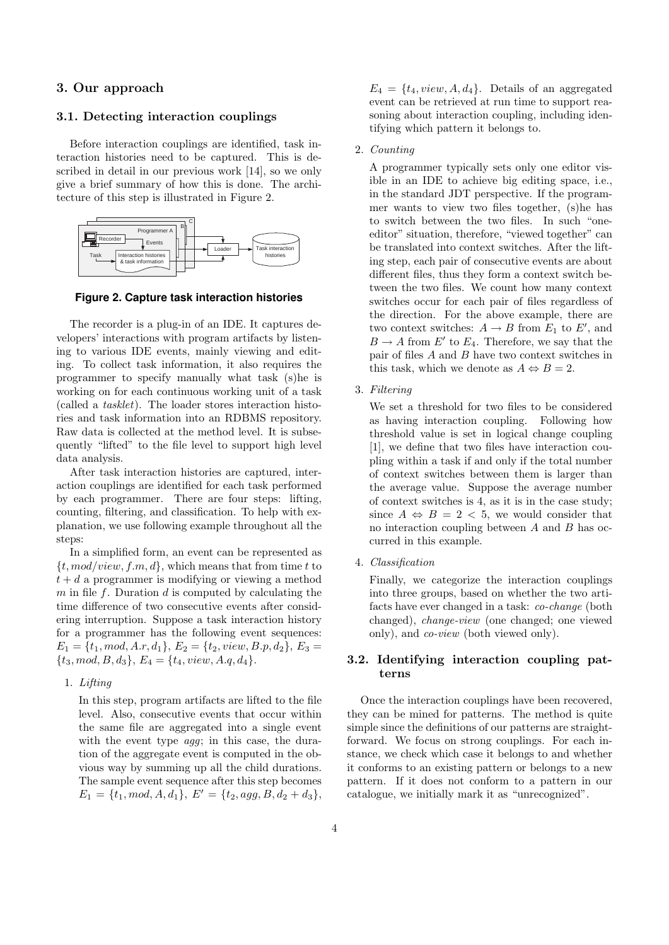### 3. Our approach

# 3.1. Detecting interaction couplings

Before interaction couplings are identified, task interaction histories need to be captured. This is described in detail in our previous work [14], so we only give a brief summary of how this is done. The architecture of this step is illustrated in Figure 2.



**Figure 2. Capture task interaction histories**

The recorder is a plug-in of an IDE. It captures developers' interactions with program artifacts by listening to various IDE events, mainly viewing and editing. To collect task information, it also requires the programmer to specify manually what task (s)he is working on for each continuous working unit of a task (called a tasklet). The loader stores interaction histories and task information into an RDBMS repository. Raw data is collected at the method level. It is subsequently "lifted" to the file level to support high level data analysis.

After task interaction histories are captured, interaction couplings are identified for each task performed by each programmer. There are four steps: lifting, counting, filtering, and classification. To help with explanation, we use following example throughout all the steps:

In a simplified form, an event can be represented as  $\{t, mod/view, f.m, d\}$ , which means that from time t to  $t + d$  a programmer is modifying or viewing a method m in file f. Duration  $d$  is computed by calculating the time difference of two consecutive events after considering interruption. Suppose a task interaction history for a programmer has the following event sequences:  $E_1 = \{t_1, mod, A.r, d_1\}, E_2 = \{t_2, view, B.p, d_2\}, E_3 =$  ${t_3, mod, B, d_3}, E_4 = {t_4, view, A.q, d_4}.$ 

### 1. Lifting

In this step, program artifacts are lifted to the file level. Also, consecutive events that occur within the same file are aggregated into a single event with the event type *agg*; in this case, the duration of the aggregate event is computed in the obvious way by summing up all the child durations. The sample event sequence after this step becomes  $E_1 = \{t_1, mod, A, d_1\}, E' = \{t_2, agg, B, d_2 + d_3\},$ 

 $E_4 = \{t_4, view, A, d_4\}.$  Details of an aggregated event can be retrieved at run time to support reasoning about interaction coupling, including identifying which pattern it belongs to.

#### 2. Counting

A programmer typically sets only one editor visible in an IDE to achieve big editing space, i.e., in the standard JDT perspective. If the programmer wants to view two files together, (s)he has to switch between the two files. In such "oneeditor" situation, therefore, "viewed together" can be translated into context switches. After the lifting step, each pair of consecutive events are about different files, thus they form a context switch between the two files. We count how many context switches occur for each pair of files regardless of the direction. For the above example, there are two context switches:  $A \to B$  from  $E_1$  to  $E'$ , and  $B \to A$  from E' to  $E_4$ . Therefore, we say that the pair of files A and B have two context switches in this task, which we denote as  $A \Leftrightarrow B = 2$ .

3. Filtering

We set a threshold for two files to be considered as having interaction coupling. Following how threshold value is set in logical change coupling [1], we define that two files have interaction coupling within a task if and only if the total number of context switches between them is larger than the average value. Suppose the average number of context switches is 4, as it is in the case study; since  $A \Leftrightarrow B = 2 < 5$ , we would consider that no interaction coupling between A and B has occurred in this example.

4. Classification

Finally, we categorize the interaction couplings into three groups, based on whether the two artifacts have ever changed in a task: co-change (both changed), change-view (one changed; one viewed only), and co-view (both viewed only).

# 3.2. Identifying interaction coupling patterns

Once the interaction couplings have been recovered, they can be mined for patterns. The method is quite simple since the definitions of our patterns are straightforward. We focus on strong couplings. For each instance, we check which case it belongs to and whether it conforms to an existing pattern or belongs to a new pattern. If it does not conform to a pattern in our catalogue, we initially mark it as "unrecognized".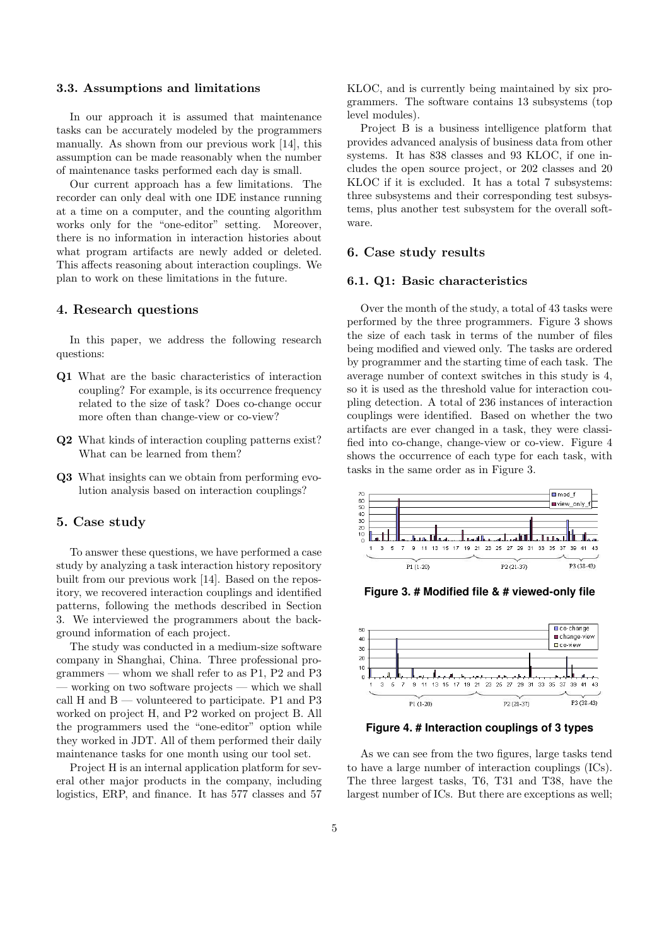#### 3.3. Assumptions and limitations

In our approach it is assumed that maintenance tasks can be accurately modeled by the programmers manually. As shown from our previous work [14], this assumption can be made reasonably when the number of maintenance tasks performed each day is small.

Our current approach has a few limitations. The recorder can only deal with one IDE instance running at a time on a computer, and the counting algorithm works only for the "one-editor" setting. Moreover, there is no information in interaction histories about what program artifacts are newly added or deleted. This affects reasoning about interaction couplings. We plan to work on these limitations in the future.

### 4. Research questions

In this paper, we address the following research questions:

- Q1 What are the basic characteristics of interaction coupling? For example, is its occurrence frequency related to the size of task? Does co-change occur more often than change-view or co-view?
- Q2 What kinds of interaction coupling patterns exist? What can be learned from them?
- Q3 What insights can we obtain from performing evolution analysis based on interaction couplings?

#### 5. Case study

To answer these questions, we have performed a case study by analyzing a task interaction history repository built from our previous work [14]. Based on the repository, we recovered interaction couplings and identified patterns, following the methods described in Section 3. We interviewed the programmers about the background information of each project.

The study was conducted in a medium-size software company in Shanghai, China. Three professional programmers — whom we shall refer to as P1, P2 and P3 — working on two software projects — which we shall call H and  $B$  — volunteered to participate. P1 and P3 worked on project H, and P2 worked on project B. All the programmers used the "one-editor" option while they worked in JDT. All of them performed their daily maintenance tasks for one month using our tool set.

Project H is an internal application platform for several other major products in the company, including logistics, ERP, and finance. It has 577 classes and 57 KLOC, and is currently being maintained by six programmers. The software contains 13 subsystems (top level modules).

Project B is a business intelligence platform that provides advanced analysis of business data from other systems. It has 838 classes and 93 KLOC, if one includes the open source project, or 202 classes and 20 KLOC if it is excluded. It has a total 7 subsystems: three subsystems and their corresponding test subsystems, plus another test subsystem for the overall software.

### 6. Case study results

#### 6.1. Q1: Basic characteristics

Over the month of the study, a total of 43 tasks were performed by the three programmers. Figure 3 shows the size of each task in terms of the number of files being modified and viewed only. The tasks are ordered by programmer and the starting time of each task. The average number of context switches in this study is 4, so it is used as the threshold value for interaction coupling detection. A total of 236 instances of interaction couplings were identified. Based on whether the two artifacts are ever changed in a task, they were classified into co-change, change-view or co-view. Figure 4 shows the occurrence of each type for each task, with tasks in the same order as in Figure 3.



**Figure 3. # Modified file & # viewed-only file**



**Figure 4. # Interaction couplings of 3 types**

As we can see from the two figures, large tasks tend to have a large number of interaction couplings (ICs). The three largest tasks, T6, T31 and T38, have the largest number of ICs. But there are exceptions as well;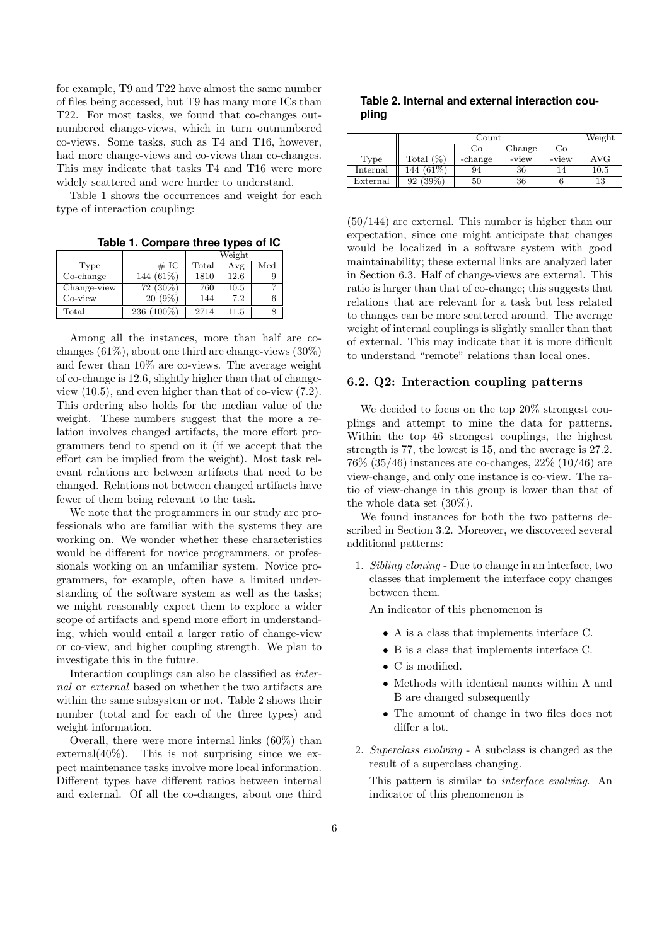for example, T9 and T22 have almost the same number of files being accessed, but T9 has many more ICs than T22. For most tasks, we found that co-changes outnumbered change-views, which in turn outnumbered co-views. Some tasks, such as T4 and T16, however, had more change-views and co-views than co-changes. This may indicate that tasks T4 and T16 were more widely scattered and were harder to understand.

Table 1 shows the occurrences and weight for each type of interaction coupling:

**Table 1. Compare three types of IC**

|              |              |       | Weight |              |
|--------------|--------------|-------|--------|--------------|
| Type         | # IC         | Total | Avg    | $_{\rm Med}$ |
| $Co$ -change | 144 (61\%)   | 1810  | 12.6   |              |
| Change-view  | 72 (30%)     | 760   | 10.5   |              |
| Co-view      | $20(9\%)$    | 144   | 7.2    |              |
| Total        | $236(100\%)$ | 2714  | 11.5   |              |

Among all the instances, more than half are cochanges  $(61\%)$ , about one third are change-views  $(30\%)$ and fewer than 10% are co-views. The average weight of co-change is 12.6, slightly higher than that of changeview (10.5), and even higher than that of co-view (7.2). This ordering also holds for the median value of the weight. These numbers suggest that the more a relation involves changed artifacts, the more effort programmers tend to spend on it (if we accept that the effort can be implied from the weight). Most task relevant relations are between artifacts that need to be changed. Relations not between changed artifacts have fewer of them being relevant to the task.

We note that the programmers in our study are professionals who are familiar with the systems they are working on. We wonder whether these characteristics would be different for novice programmers, or professionals working on an unfamiliar system. Novice programmers, for example, often have a limited understanding of the software system as well as the tasks; we might reasonably expect them to explore a wider scope of artifacts and spend more effort in understanding, which would entail a larger ratio of change-view or co-view, and higher coupling strength. We plan to investigate this in the future.

Interaction couplings can also be classified as internal or external based on whether the two artifacts are within the same subsystem or not. Table 2 shows their number (total and for each of the three types) and weight information.

Overall, there were more internal links (60%) than external $(40\%)$ . This is not surprising since we expect maintenance tasks involve more local information. Different types have different ratios between internal and external. Of all the co-changes, about one third

**Table 2. Internal and external interaction coupling**

|          | $_{\rm Count}$ |         |        | Weight |      |
|----------|----------------|---------|--------|--------|------|
|          |                | Co.     | Change | Co     |      |
| Type     | Total $(\%)$   | -change | -view  | -view  | AVG  |
| Internal | 144 (61%)      | 94      | 36     | 14     | 10.5 |
| External | 92(39%)        | 50      | 36     |        | 13   |

(50/144) are external. This number is higher than our expectation, since one might anticipate that changes would be localized in a software system with good maintainability; these external links are analyzed later in Section 6.3. Half of change-views are external. This ratio is larger than that of co-change; this suggests that relations that are relevant for a task but less related to changes can be more scattered around. The average weight of internal couplings is slightly smaller than that of external. This may indicate that it is more difficult to understand "remote" relations than local ones.

### 6.2. Q2: Interaction coupling patterns

We decided to focus on the top 20% strongest couplings and attempt to mine the data for patterns. Within the top 46 strongest couplings, the highest strength is 77, the lowest is 15, and the average is 27.2. 76% (35/46) instances are co-changes, 22% (10/46) are view-change, and only one instance is co-view. The ratio of view-change in this group is lower than that of the whole data set (30%).

We found instances for both the two patterns described in Section 3.2. Moreover, we discovered several additional patterns:

1. Sibling cloning - Due to change in an interface, two classes that implement the interface copy changes between them.

An indicator of this phenomenon is

- A is a class that implements interface C.
- B is a class that implements interface C.
- C is modified.
- Methods with identical names within A and B are changed subsequently
- The amount of change in two files does not differ a lot.
- 2. Superclass evolving A subclass is changed as the result of a superclass changing.

This pattern is similar to interface evolving. An indicator of this phenomenon is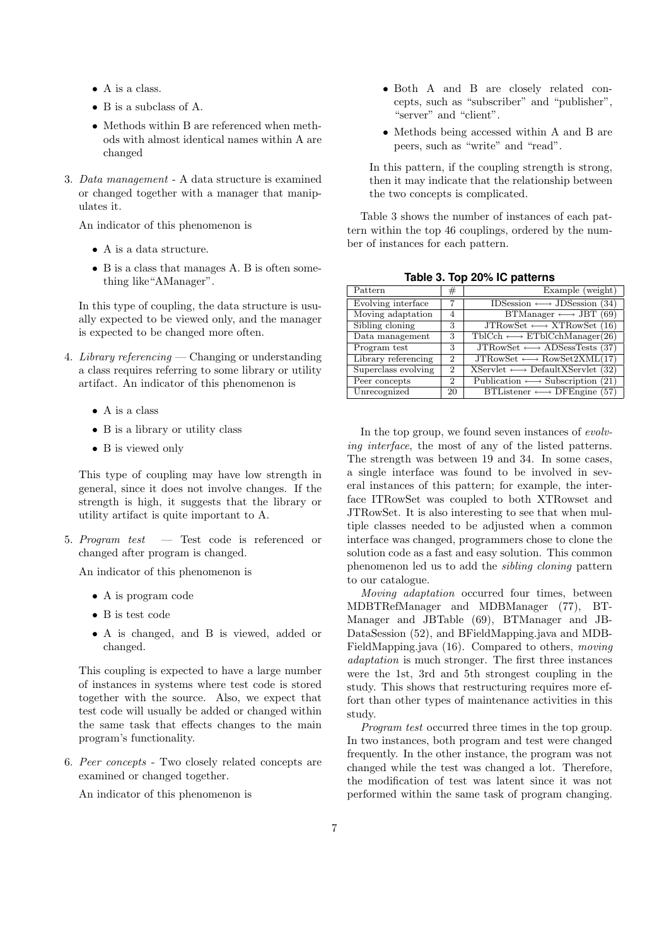- A is a class.
- B is a subclass of A.
- Methods within B are referenced when methods with almost identical names within A are changed
- 3. Data management A data structure is examined or changed together with a manager that manipulates it.

An indicator of this phenomenon is

- A is a data structure.
- B is a class that manages A. B is often something like"AManager".

In this type of coupling, the data structure is usually expected to be viewed only, and the manager is expected to be changed more often.

- 4. Library referencing Changing or understanding a class requires referring to some library or utility artifact. An indicator of this phenomenon is
	- A is a class
	- B is a library or utility class
	- B is viewed only

This type of coupling may have low strength in general, since it does not involve changes. If the strength is high, it suggests that the library or utility artifact is quite important to A.

5. Program test  $-$  Test code is referenced or changed after program is changed.

An indicator of this phenomenon is

- A is program code
- B is test code
- A is changed, and B is viewed, added or changed.

This coupling is expected to have a large number of instances in systems where test code is stored together with the source. Also, we expect that test code will usually be added or changed within the same task that effects changes to the main program's functionality.

6. Peer concepts - Two closely related concepts are examined or changed together.

An indicator of this phenomenon is

- Both A and B are closely related concepts, such as "subscriber" and "publisher", "server" and "client".
- Methods being accessed within A and B are peers, such as "write" and "read".

In this pattern, if the coupling strength is strong, then it may indicate that the relationship between the two concepts is complicated.

Table 3 shows the number of instances of each pattern within the top 46 couplings, ordered by the number of instances for each pattern.

| ____                |                             |                                                        |  |  |  |
|---------------------|-----------------------------|--------------------------------------------------------|--|--|--|
| Pattern             | #                           | Example (weight)                                       |  |  |  |
| Evolving interface  |                             | IDSession $\longleftrightarrow$ JDSession (34)         |  |  |  |
| Moving adaptation   | 4                           | BTManager $\longleftrightarrow$ JBT (69)               |  |  |  |
| Sibling cloning     | 3                           | JTRowSet $\longleftrightarrow$ XTRowSet (16)           |  |  |  |
| Data management     | 3                           | $TblCch \longleftrightarrow ETblCchManager(26)$        |  |  |  |
| Program test        | 3                           | JTRowSet $\longleftrightarrow$ ADSessTests (37)        |  |  |  |
| Library referencing | $\mathcal{D}_{\mathcal{L}}$ | $JTRowSet \longleftrightarrow RowSet2XML(17)$          |  |  |  |
| Superclass evolving | $\overline{2}$              | $X$ Servlet $\longleftrightarrow$ DefaultXServlet (32) |  |  |  |
| Peer concepts       | $\overline{2}$              | Publication $\longleftrightarrow$ Subscription (21)    |  |  |  |
| Unrecognized        | 20                          | BTListener $\longleftrightarrow$ DFEngine (57)         |  |  |  |

**Table 3. Top 20% IC patterns**

In the top group, we found seven instances of evolving interface, the most of any of the listed patterns. The strength was between 19 and 34. In some cases, a single interface was found to be involved in several instances of this pattern; for example, the interface ITRowSet was coupled to both XTRowset and JTRowSet. It is also interesting to see that when multiple classes needed to be adjusted when a common interface was changed, programmers chose to clone the solution code as a fast and easy solution. This common phenomenon led us to add the sibling cloning pattern to our catalogue.

Moving adaptation occurred four times, between MDBTRefManager and MDBManager (77), BT-Manager and JBTable (69), BTManager and JB-DataSession (52), and BFieldMapping.java and MDB-FieldMapping.java (16). Compared to others, moving adaptation is much stronger. The first three instances were the 1st, 3rd and 5th strongest coupling in the study. This shows that restructuring requires more effort than other types of maintenance activities in this study.

Program test occurred three times in the top group. In two instances, both program and test were changed frequently. In the other instance, the program was not changed while the test was changed a lot. Therefore, the modification of test was latent since it was not performed within the same task of program changing.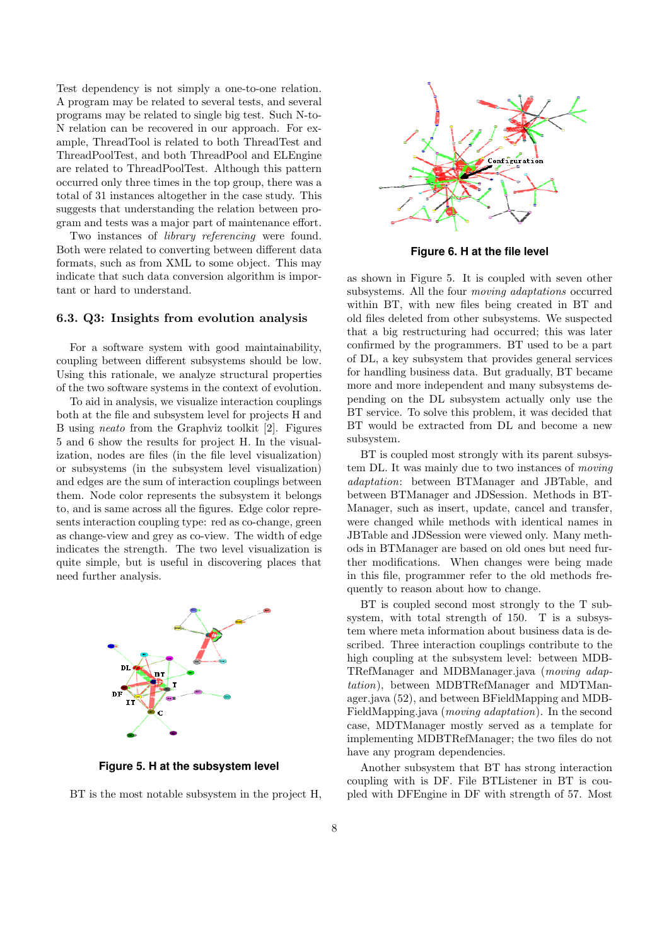Test dependency is not simply a one-to-one relation. A program may be related to several tests, and several programs may be related to single big test. Such N-to-N relation can be recovered in our approach. For example, ThreadTool is related to both ThreadTest and ThreadPoolTest, and both ThreadPool and ELEngine are related to ThreadPoolTest. Although this pattern occurred only three times in the top group, there was a total of 31 instances altogether in the case study. This suggests that understanding the relation between program and tests was a major part of maintenance effort.

Two instances of library referencing were found. Both were related to converting between different data formats, such as from XML to some object. This may indicate that such data conversion algorithm is important or hard to understand.

# 6.3. Q3: Insights from evolution analysis

For a software system with good maintainability, coupling between different subsystems should be low. Using this rationale, we analyze structural properties of the two software systems in the context of evolution.

To aid in analysis, we visualize interaction couplings both at the file and subsystem level for projects H and B using neato from the Graphviz toolkit [2]. Figures 5 and 6 show the results for project H. In the visualization, nodes are files (in the file level visualization) or subsystems (in the subsystem level visualization) and edges are the sum of interaction couplings between them. Node color represents the subsystem it belongs to, and is same across all the figures. Edge color represents interaction coupling type: red as co-change, green as change-view and grey as co-view. The width of edge indicates the strength. The two level visualization is quite simple, but is useful in discovering places that need further analysis.



**Figure 5. H at the subsystem level**

BT is the most notable subsystem in the project H,



**Figure 6. H at the file level**

as shown in Figure 5. It is coupled with seven other subsystems. All the four moving adaptations occurred within BT, with new files being created in BT and old files deleted from other subsystems. We suspected that a big restructuring had occurred; this was later confirmed by the programmers. BT used to be a part of DL, a key subsystem that provides general services for handling business data. But gradually, BT became more and more independent and many subsystems depending on the DL subsystem actually only use the BT service. To solve this problem, it was decided that BT would be extracted from DL and become a new subsystem.

BT is coupled most strongly with its parent subsystem DL. It was mainly due to two instances of moving adaptation: between BTManager and JBTable, and between BTManager and JDSession. Methods in BT-Manager, such as insert, update, cancel and transfer, were changed while methods with identical names in JBTable and JDSession were viewed only. Many methods in BTManager are based on old ones but need further modifications. When changes were being made in this file, programmer refer to the old methods frequently to reason about how to change.

BT is coupled second most strongly to the T subsystem, with total strength of 150. T is a subsystem where meta information about business data is described. Three interaction couplings contribute to the high coupling at the subsystem level: between MDB-TRefManager and MDBManager.java (moving adaptation), between MDBTRefManager and MDTManager.java (52), and between BFieldMapping and MDB-FieldMapping.java (moving adaptation). In the second case, MDTManager mostly served as a template for implementing MDBTRefManager; the two files do not have any program dependencies.

Another subsystem that BT has strong interaction coupling with is DF. File BTListener in BT is coupled with DFEngine in DF with strength of 57. Most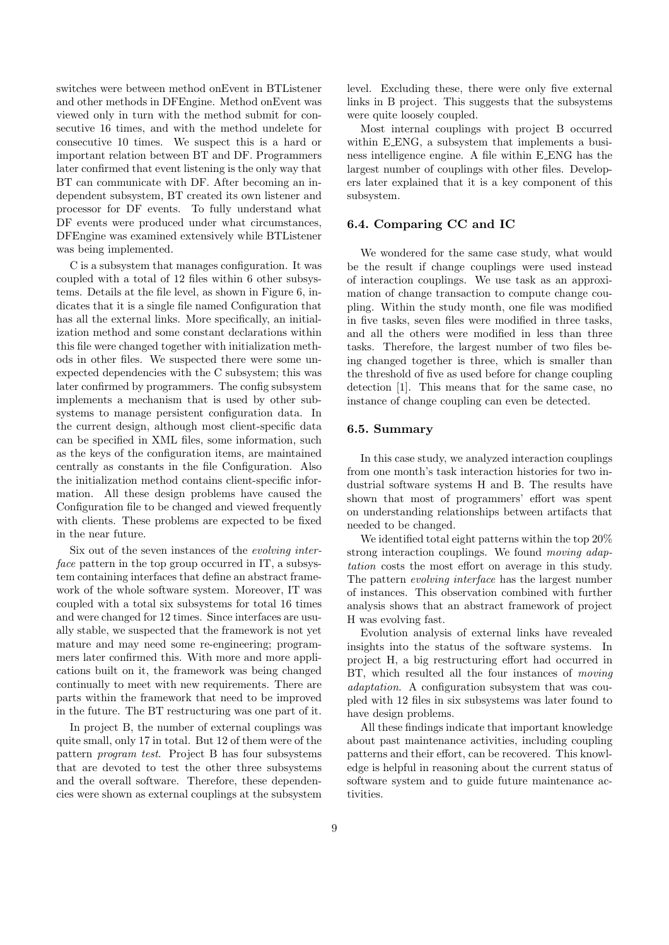switches were between method onEvent in BTListener and other methods in DFEngine. Method onEvent was viewed only in turn with the method submit for consecutive 16 times, and with the method undelete for consecutive 10 times. We suspect this is a hard or important relation between BT and DF. Programmers later confirmed that event listening is the only way that BT can communicate with DF. After becoming an independent subsystem, BT created its own listener and processor for DF events. To fully understand what DF events were produced under what circumstances, DFEngine was examined extensively while BTListener was being implemented.

C is a subsystem that manages configuration. It was coupled with a total of 12 files within 6 other subsystems. Details at the file level, as shown in Figure 6, indicates that it is a single file named Configuration that has all the external links. More specifically, an initialization method and some constant declarations within this file were changed together with initialization methods in other files. We suspected there were some unexpected dependencies with the C subsystem; this was later confirmed by programmers. The config subsystem implements a mechanism that is used by other subsystems to manage persistent configuration data. In the current design, although most client-specific data can be specified in XML files, some information, such as the keys of the configuration items, are maintained centrally as constants in the file Configuration. Also the initialization method contains client-specific information. All these design problems have caused the Configuration file to be changed and viewed frequently with clients. These problems are expected to be fixed in the near future.

Six out of the seven instances of the evolving interface pattern in the top group occurred in IT, a subsystem containing interfaces that define an abstract framework of the whole software system. Moreover, IT was coupled with a total six subsystems for total 16 times and were changed for 12 times. Since interfaces are usually stable, we suspected that the framework is not yet mature and may need some re-engineering; programmers later confirmed this. With more and more applications built on it, the framework was being changed continually to meet with new requirements. There are parts within the framework that need to be improved in the future. The BT restructuring was one part of it.

In project B, the number of external couplings was quite small, only 17 in total. But 12 of them were of the pattern program test. Project B has four subsystems that are devoted to test the other three subsystems and the overall software. Therefore, these dependencies were shown as external couplings at the subsystem

level. Excluding these, there were only five external links in B project. This suggests that the subsystems were quite loosely coupled.

Most internal couplings with project B occurred within E\_ENG, a subsystem that implements a business intelligence engine. A file within E ENG has the largest number of couplings with other files. Developers later explained that it is a key component of this subsystem.

#### 6.4. Comparing CC and IC

We wondered for the same case study, what would be the result if change couplings were used instead of interaction couplings. We use task as an approximation of change transaction to compute change coupling. Within the study month, one file was modified in five tasks, seven files were modified in three tasks, and all the others were modified in less than three tasks. Therefore, the largest number of two files being changed together is three, which is smaller than the threshold of five as used before for change coupling detection [1]. This means that for the same case, no instance of change coupling can even be detected.

#### 6.5. Summary

In this case study, we analyzed interaction couplings from one month's task interaction histories for two industrial software systems H and B. The results have shown that most of programmers' effort was spent on understanding relationships between artifacts that needed to be changed.

We identified total eight patterns within the top 20% strong interaction couplings. We found *moving adap*tation costs the most effort on average in this study. The pattern evolving interface has the largest number of instances. This observation combined with further analysis shows that an abstract framework of project H was evolving fast.

Evolution analysis of external links have revealed insights into the status of the software systems. In project H, a big restructuring effort had occurred in BT, which resulted all the four instances of moving adaptation. A configuration subsystem that was coupled with 12 files in six subsystems was later found to have design problems.

All these findings indicate that important knowledge about past maintenance activities, including coupling patterns and their effort, can be recovered. This knowledge is helpful in reasoning about the current status of software system and to guide future maintenance activities.